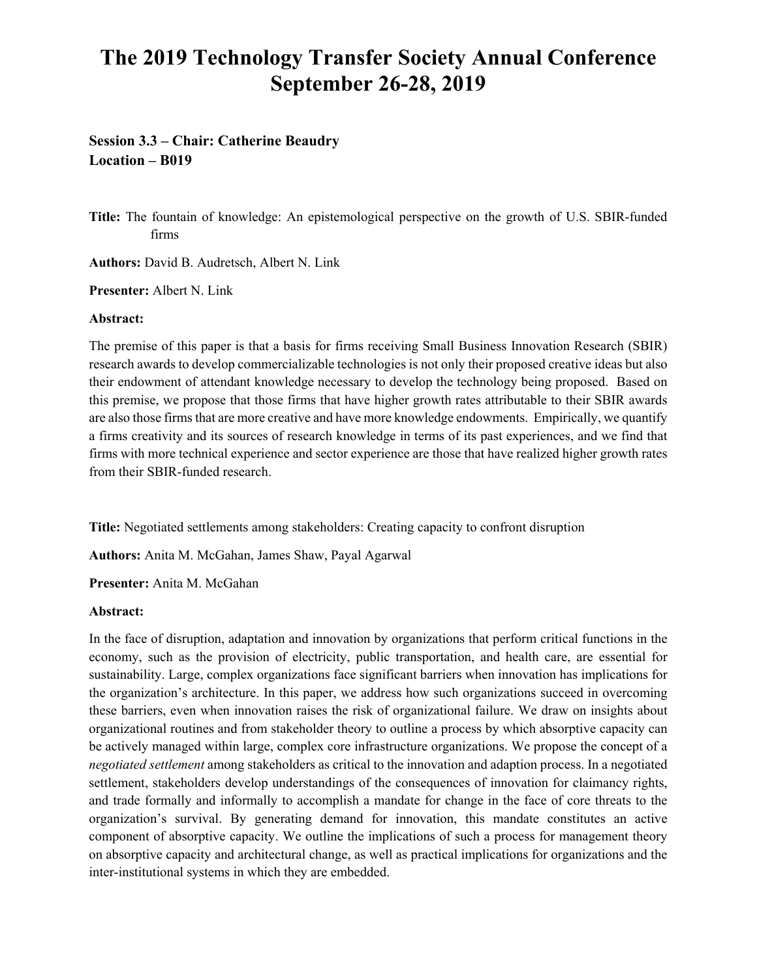# **The 2019 Technology Transfer Society Annual Conference September 26-28, 2019**

# **Session 3.3 – Chair: Catherine Beaudry Location – B019**

**Title:** The fountain of knowledge: An epistemological perspective on the growth of U.S. SBIR-funded firms

**Authors:** David B. Audretsch, Albert N. Link

**Presenter:** Albert N. Link

#### **Abstract:**

The premise of this paper is that a basis for firms receiving Small Business Innovation Research (SBIR) research awards to develop commercializable technologies is not only their proposed creative ideas but also their endowment of attendant knowledge necessary to develop the technology being proposed. Based on this premise, we propose that those firms that have higher growth rates attributable to their SBIR awards are also those firms that are more creative and have more knowledge endowments. Empirically, we quantify a firms creativity and its sources of research knowledge in terms of its past experiences, and we find that firms with more technical experience and sector experience are those that have realized higher growth rates from their SBIR-funded research.

**Title:** Negotiated settlements among stakeholders: Creating capacity to confront disruption

**Authors:** Anita M. McGahan, James Shaw, Payal Agarwal

**Presenter:** Anita M. McGahan

### **Abstract:**

In the face of disruption, adaptation and innovation by organizations that perform critical functions in the economy, such as the provision of electricity, public transportation, and health care, are essential for sustainability. Large, complex organizations face significant barriers when innovation has implications for the organization's architecture. In this paper, we address how such organizations succeed in overcoming these barriers, even when innovation raises the risk of organizational failure. We draw on insights about organizational routines and from stakeholder theory to outline a process by which absorptive capacity can be actively managed within large, complex core infrastructure organizations. We propose the concept of a *negotiated settlement* among stakeholders as critical to the innovation and adaption process. In a negotiated settlement, stakeholders develop understandings of the consequences of innovation for claimancy rights, and trade formally and informally to accomplish a mandate for change in the face of core threats to the organization's survival. By generating demand for innovation, this mandate constitutes an active component of absorptive capacity. We outline the implications of such a process for management theory on absorptive capacity and architectural change, as well as practical implications for organizations and the inter-institutional systems in which they are embedded.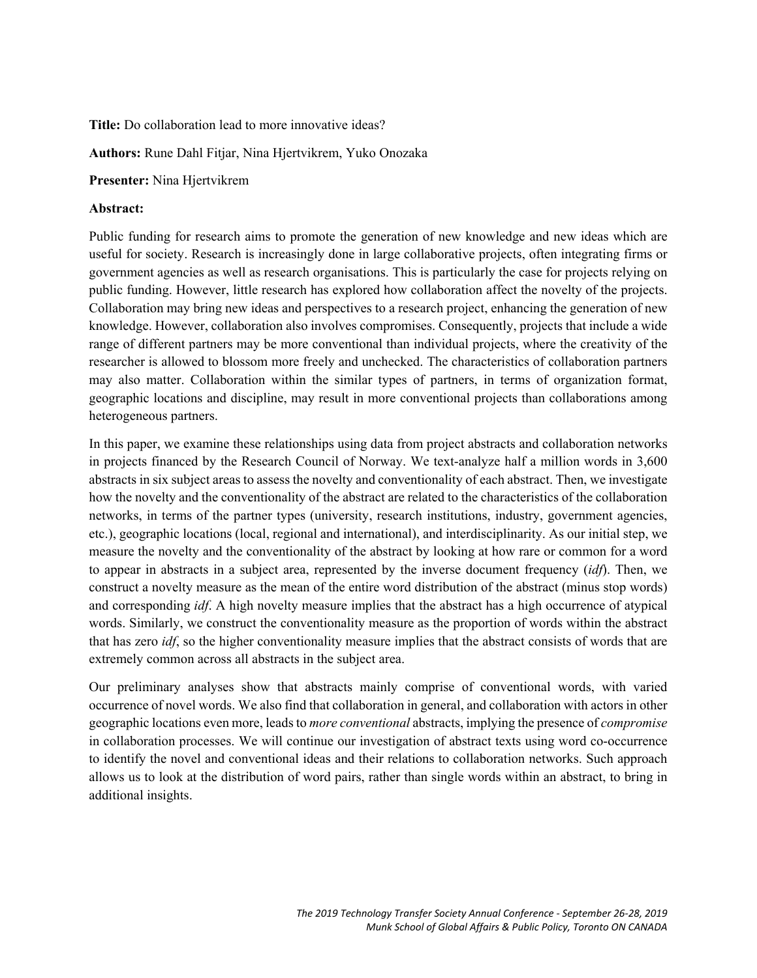**Title:** Do collaboration lead to more innovative ideas?

**Authors:** Rune Dahl Fitjar, Nina Hjertvikrem, Yuko Onozaka

**Presenter:** Nina Hjertvikrem

#### **Abstract:**

Public funding for research aims to promote the generation of new knowledge and new ideas which are useful for society. Research is increasingly done in large collaborative projects, often integrating firms or government agencies as well as research organisations. This is particularly the case for projects relying on public funding. However, little research has explored how collaboration affect the novelty of the projects. Collaboration may bring new ideas and perspectives to a research project, enhancing the generation of new knowledge. However, collaboration also involves compromises. Consequently, projects that include a wide range of different partners may be more conventional than individual projects, where the creativity of the researcher is allowed to blossom more freely and unchecked. The characteristics of collaboration partners may also matter. Collaboration within the similar types of partners, in terms of organization format, geographic locations and discipline, may result in more conventional projects than collaborations among heterogeneous partners.

In this paper, we examine these relationships using data from project abstracts and collaboration networks in projects financed by the Research Council of Norway. We text-analyze half a million words in 3,600 abstracts in six subject areas to assess the novelty and conventionality of each abstract. Then, we investigate how the novelty and the conventionality of the abstract are related to the characteristics of the collaboration networks, in terms of the partner types (university, research institutions, industry, government agencies, etc.), geographic locations (local, regional and international), and interdisciplinarity. As our initial step, we measure the novelty and the conventionality of the abstract by looking at how rare or common for a word to appear in abstracts in a subject area, represented by the inverse document frequency (*idf*). Then, we construct a novelty measure as the mean of the entire word distribution of the abstract (minus stop words) and corresponding *idf*. A high novelty measure implies that the abstract has a high occurrence of atypical words. Similarly, we construct the conventionality measure as the proportion of words within the abstract that has zero *idf*, so the higher conventionality measure implies that the abstract consists of words that are extremely common across all abstracts in the subject area.

Our preliminary analyses show that abstracts mainly comprise of conventional words, with varied occurrence of novel words. We also find that collaboration in general, and collaboration with actors in other geographic locations even more, leads to *more conventional* abstracts, implying the presence of *compromise* in collaboration processes. We will continue our investigation of abstract texts using word co-occurrence to identify the novel and conventional ideas and their relations to collaboration networks. Such approach allows us to look at the distribution of word pairs, rather than single words within an abstract, to bring in additional insights.